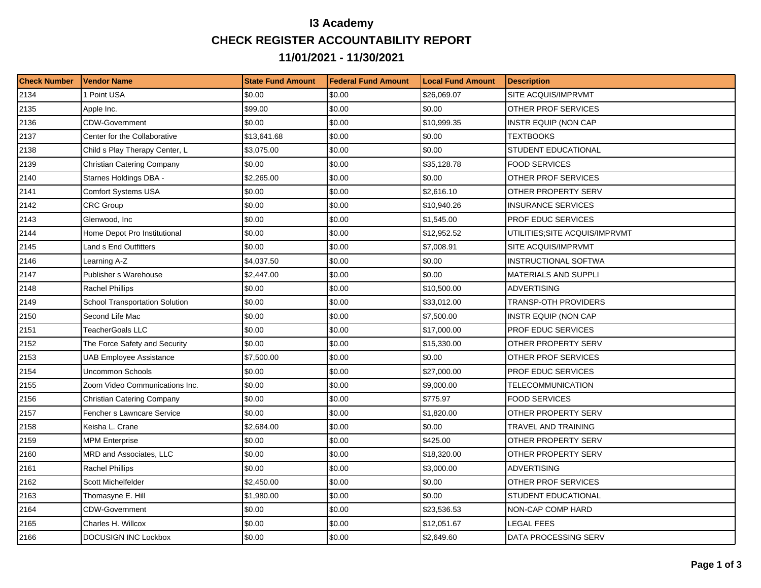## **I3 Academy CHECK REGISTER ACCOUNTABILITY REPORT 11/01/2021 - 11/30/2021**

| <b>Check Number</b> | <b>Vendor Name</b>                    | <b>State Fund Amount</b> | <b>Federal Fund Amount</b> | <b>Local Fund Amount</b> | <b>Description</b>            |
|---------------------|---------------------------------------|--------------------------|----------------------------|--------------------------|-------------------------------|
| 2134                | 1 Point USA                           | \$0.00                   | \$0.00                     | \$26,069.07              | SITE ACQUIS/IMPRVMT           |
| 2135                | Apple Inc.                            | \$99.00                  | \$0.00                     | \$0.00                   | OTHER PROF SERVICES           |
| 2136                | <b>CDW-Government</b>                 | \$0.00                   | \$0.00                     | \$10,999.35              | <b>INSTR EQUIP (NON CAP</b>   |
| 2137                | Center for the Collaborative          | \$13,641.68              | \$0.00                     | \$0.00                   | <b>TEXTBOOKS</b>              |
| 2138                | Child s Play Therapy Center, L        | \$3,075.00               | \$0.00                     | \$0.00                   | <b>STUDENT EDUCATIONAL</b>    |
| 2139                | Christian Catering Company            | \$0.00                   | \$0.00                     | \$35,128.78              | FOOD SERVICES                 |
| 2140                | Starnes Holdings DBA -                | \$2,265.00               | \$0.00                     | \$0.00                   | OTHER PROF SERVICES           |
| 2141                | <b>Comfort Systems USA</b>            | \$0.00                   | \$0.00                     | \$2,616.10               | OTHER PROPERTY SERV           |
| 2142                | <b>CRC Group</b>                      | \$0.00                   | \$0.00                     | \$10,940.26              | <b>INSURANCE SERVICES</b>     |
| 2143                | Glenwood, Inc                         | \$0.00                   | \$0.00                     | \$1,545.00               | PROF EDUC SERVICES            |
| 2144                | Home Depot Pro Institutional          | \$0.00                   | \$0.00                     | \$12,952.52              | UTILITIES;SITE ACQUIS/IMPRVMT |
| 2145                | Land s End Outfitters                 | \$0.00                   | \$0.00                     | \$7,008.91               | SITE ACQUIS/IMPRVMT           |
| 2146                | Learning A-Z                          | \$4,037.50               | \$0.00                     | \$0.00                   | <b>INSTRUCTIONAL SOFTWA</b>   |
| 2147                | Publisher s Warehouse                 | \$2,447.00               | \$0.00                     | \$0.00                   | <b>MATERIALS AND SUPPLI</b>   |
| 2148                | <b>Rachel Phillips</b>                | \$0.00                   | \$0.00                     | \$10,500.00              | <b>ADVERTISING</b>            |
| 2149                | <b>School Transportation Solution</b> | \$0.00                   | \$0.00                     | \$33,012.00              | TRANSP-OTH PROVIDERS          |
| 2150                | Second Life Mac                       | \$0.00                   | \$0.00                     | \$7,500.00               | <b>INSTR EQUIP (NON CAP</b>   |
| 2151                | TeacherGoals LLC                      | \$0.00                   | \$0.00                     | \$17,000.00              | PROF EDUC SERVICES            |
| 2152                | The Force Safety and Security         | \$0.00                   | \$0.00                     | \$15,330.00              | OTHER PROPERTY SERV           |
| 2153                | UAB Employee Assistance               | \$7,500.00               | \$0.00                     | \$0.00                   | OTHER PROF SERVICES           |
| 2154                | Uncommon Schools                      | \$0.00                   | \$0.00                     | \$27,000.00              | PROF EDUC SERVICES            |
| 2155                | Zoom Video Communications Inc.        | \$0.00                   | \$0.00                     | \$9,000.00               | TELECOMMUNICATION             |
| 2156                | <b>Christian Catering Company</b>     | \$0.00                   | \$0.00                     | \$775.97                 | FOOD SERVICES                 |
| 2157                | Fencher s Lawncare Service            | \$0.00                   | \$0.00                     | \$1,820.00               | OTHER PROPERTY SERV           |
| 2158                | Keisha L. Crane                       | \$2,684.00               | \$0.00                     | \$0.00                   | TRAVEL AND TRAINING           |
| 2159                | <b>MPM Enterprise</b>                 | \$0.00                   | \$0.00                     | \$425.00                 | OTHER PROPERTY SERV           |
| 2160                | MRD and Associates, LLC               | \$0.00                   | \$0.00                     | \$18,320.00              | OTHER PROPERTY SERV           |
| 2161                | <b>Rachel Phillips</b>                | \$0.00                   | \$0.00                     | \$3,000.00               | <b>ADVERTISING</b>            |
| 2162                | Scott Michelfelder                    | \$2,450.00               | \$0.00                     | \$0.00                   | OTHER PROF SERVICES           |
| 2163                | Thomasyne E. Hill                     | \$1,980.00               | \$0.00                     | \$0.00                   | STUDENT EDUCATIONAL           |
| 2164                | CDW-Government                        | \$0.00                   | \$0.00                     | \$23,536.53              | NON-CAP COMP HARD             |
| 2165                | Charles H. Willcox                    | \$0.00                   | \$0.00                     | \$12,051.67              | <b>EGAL FEES</b>              |
| 2166                | <b>DOCUSIGN INC Lockbox</b>           | \$0.00                   | \$0.00                     | \$2,649.60               | DATA PROCESSING SERV          |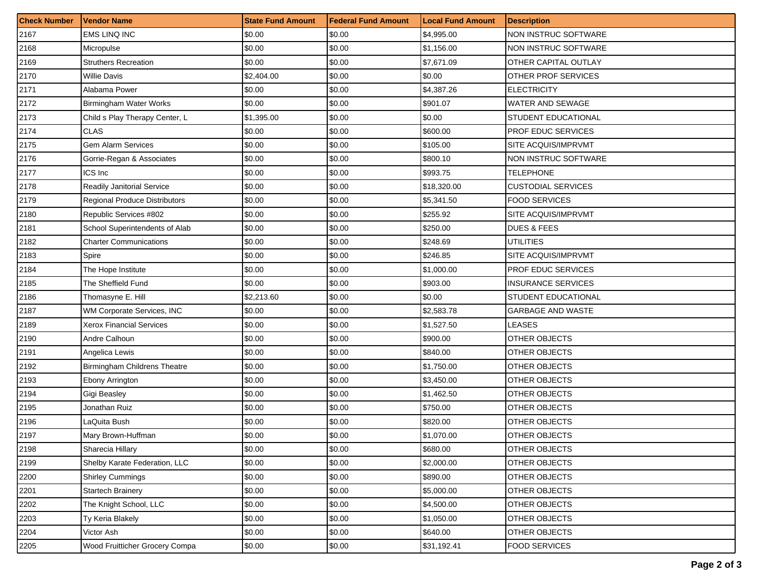| <b>Check Number</b> | <b>Vendor Name</b>                   | <b>State Fund Amount</b> | <b>Federal Fund Amount</b> | <b>Local Fund Amount</b> | <b>Description</b>          |
|---------------------|--------------------------------------|--------------------------|----------------------------|--------------------------|-----------------------------|
| 2167                | <b>EMS LINQ INC</b>                  | \$0.00                   | \$0.00                     | \$4,995.00               | <b>NON INSTRUC SOFTWARE</b> |
| 2168                | Micropulse                           | \$0.00                   | \$0.00                     | \$1,156.00               | <b>NON INSTRUC SOFTWARE</b> |
| 2169                | <b>Struthers Recreation</b>          | \$0.00                   | \$0.00                     | \$7,671.09               | OTHER CAPITAL OUTLAY        |
| 2170                | <b>Willie Davis</b>                  | \$2,404.00               | \$0.00                     | \$0.00                   | <b>OTHER PROF SERVICES</b>  |
| 2171                | Alabama Power                        | \$0.00                   | \$0.00                     | \$4,387.26               | <b>ELECTRICITY</b>          |
| 2172                | Birmingham Water Works               | \$0.00                   | \$0.00                     | \$901.07                 | <b>WATER AND SEWAGE</b>     |
| 2173                | Child s Play Therapy Center, L       | \$1,395.00               | \$0.00                     | \$0.00                   | STUDENT EDUCATIONAL         |
| 2174                | <b>CLAS</b>                          | \$0.00                   | \$0.00                     | \$600.00                 | <b>PROF EDUC SERVICES</b>   |
| 2175                | <b>Gem Alarm Services</b>            | \$0.00                   | \$0.00                     | \$105.00                 | SITE ACQUIS/IMPRVMT         |
| 2176                | Gorrie-Regan & Associates            | \$0.00                   | \$0.00                     | \$800.10                 | NON INSTRUC SOFTWARE        |
| 2177                | ICS Inc                              | \$0.00                   | \$0.00                     | \$993.75                 | <b>TELEPHONE</b>            |
| 2178                | Readily Janitorial Service           | \$0.00                   | \$0.00                     | \$18,320.00              | <b>CUSTODIAL SERVICES</b>   |
| 2179                | <b>Regional Produce Distributors</b> | \$0.00                   | \$0.00                     | \$5,341.50               | <b>FOOD SERVICES</b>        |
| 2180                | Republic Services #802               | \$0.00                   | \$0.00                     | \$255.92                 | SITE ACQUIS/IMPRVMT         |
| 2181                | School Superintendents of Alab       | \$0.00                   | \$0.00                     | \$250.00                 | <b>DUES &amp; FEES</b>      |
| 2182                | <b>Charter Communications</b>        | \$0.00                   | \$0.00                     | \$248.69                 | <b>UTILITIES</b>            |
| 2183                | Spire                                | \$0.00                   | \$0.00                     | \$246.85                 | SITE ACQUIS/IMPRVMT         |
| 2184                | The Hope Institute                   | \$0.00                   | \$0.00                     | \$1,000.00               | <b>PROF EDUC SERVICES</b>   |
| 2185                | The Sheffield Fund                   | \$0.00                   | \$0.00                     | \$903.00                 | <b>INSURANCE SERVICES</b>   |
| 2186                | Thomasyne E. Hill                    | \$2,213.60               | \$0.00                     | \$0.00                   | STUDENT EDUCATIONAL         |
| 2187                | WM Corporate Services, INC           | \$0.00                   | \$0.00                     | \$2,583.78               | <b>GARBAGE AND WASTE</b>    |
| 2189                | <b>Xerox Financial Services</b>      | \$0.00                   | \$0.00                     | \$1,527.50               | LEASES                      |
| 2190                | Andre Calhoun                        | \$0.00                   | \$0.00                     | \$900.00                 | <b>OTHER OBJECTS</b>        |
| 2191                | Angelica Lewis                       | \$0.00                   | \$0.00                     | \$840.00                 | <b>OTHER OBJECTS</b>        |
| 2192                | Birmingham Childrens Theatre         | \$0.00                   | \$0.00                     | \$1,750.00               | <b>OTHER OBJECTS</b>        |
| 2193                | Ebony Arrington                      | \$0.00                   | \$0.00                     | \$3,450.00               | <b>OTHER OBJECTS</b>        |
| 2194                | Gigi Beasley                         | \$0.00                   | \$0.00                     | \$1,462.50               | OTHER OBJECTS               |
| 2195                | Jonathan Ruiz                        | \$0.00                   | \$0.00                     | \$750.00                 | <b>OTHER OBJECTS</b>        |
| 2196                | LaQuita Bush                         | \$0.00                   | \$0.00                     | \$820.00                 | OTHER OBJECTS               |
| 2197                | Mary Brown-Huffman                   | \$0.00                   | \$0.00                     | \$1,070.00               | <b>OTHER OBJECTS</b>        |
| 2198                | Sharecia Hillary                     | \$0.00                   | \$0.00                     | \$680.00                 | OTHER OBJECTS               |
| 2199                | Shelby Karate Federation, LLC        | \$0.00                   | \$0.00                     | \$2,000.00               | OTHER OBJECTS               |
| 2200                | <b>Shirley Cummings</b>              | \$0.00                   | \$0.00                     | \$890.00                 | OTHER OBJECTS               |
| 2201                | Startech Brainery                    | \$0.00                   | \$0.00                     | \$5,000.00               | OTHER OBJECTS               |
| 2202                | The Knight School, LLC               | \$0.00                   | \$0.00                     | \$4,500.00               | OTHER OBJECTS               |
| 2203                | Ty Keria Blakely                     | \$0.00                   | \$0.00                     | \$1,050.00               | OTHER OBJECTS               |
| 2204                | Victor Ash                           | \$0.00                   | \$0.00                     | \$640.00                 | OTHER OBJECTS               |
| 2205                | Wood Fruitticher Grocery Compa       | \$0.00                   | \$0.00                     | \$31,192.41              | <b>FOOD SERVICES</b>        |